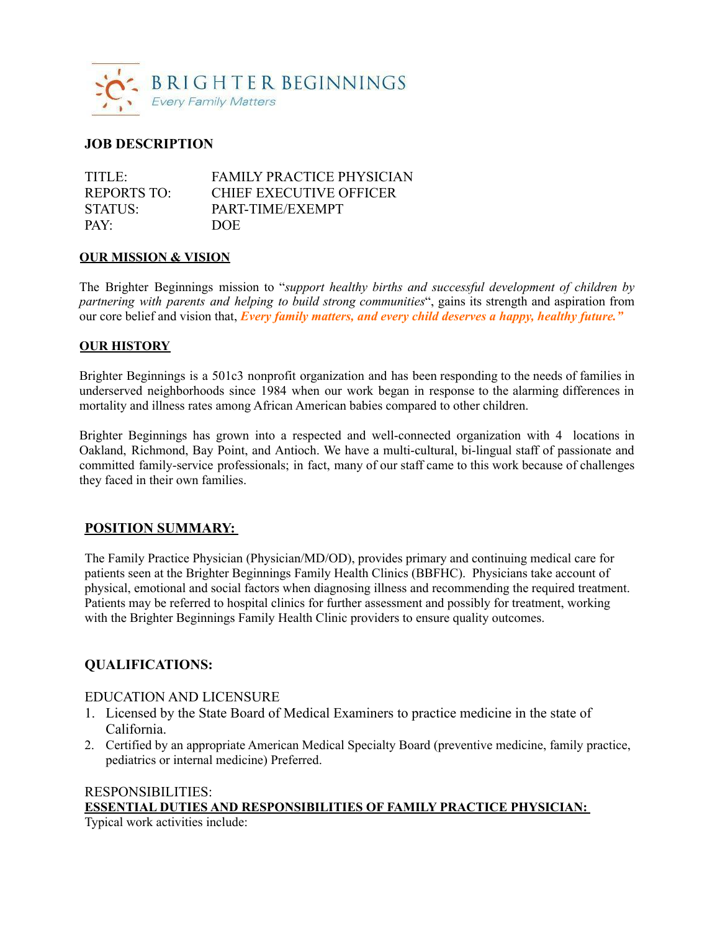

## **JOB DESCRIPTION**

| TITLE              | <b>FAMILY PRACTICE PHYSICIAN</b> |
|--------------------|----------------------------------|
| <b>REPORTS TO:</b> | <b>CHIEF EXECUTIVE OFFICER</b>   |
| STATUS:            | PART-TIME/EXEMPT                 |
| $PAY^{\cdot}$      | <b>DOE</b>                       |

#### **OUR MISSION & VISION**

The Brighter Beginnings mission to "*support healthy births and successful development of children by partnering with parents and helping to build strong communities*", gains its strength and aspiration from our core belief and vision that, *Every family matters, and every child deserves a happy, healthy future."*

### **OUR HISTORY**

Brighter Beginnings is a 501c3 nonprofit organization and has been responding to the needs of families in underserved neighborhoods since 1984 when our work began in response to the alarming differences in mortality and illness rates among African American babies compared to other children.

Brighter Beginnings has grown into a respected and well-connected organization with 4 locations in Oakland, Richmond, Bay Point, and Antioch. We have a multi-cultural, bi-lingual staff of passionate and committed family-service professionals; in fact, many of our staff came to this work because of challenges they faced in their own families.

### **POSITION SUMMARY:**

The Family Practice Physician (Physician/MD/OD), provides primary and continuing medical care for patients seen at the Brighter Beginnings Family Health Clinics (BBFHC). Physicians take account of physical, emotional and social factors when diagnosing illness and recommending the required treatment. Patients may be referred to hospital clinics for further assessment and possibly for treatment, working with the Brighter Beginnings Family Health Clinic providers to ensure quality outcomes.

## **QUALIFICATIONS:**

### EDUCATION AND LICENSURE

- 1. Licensed by the State Board of Medical Examiners to practice medicine in the state of California.
- 2. Certified by an appropriate American Medical Specialty Board (preventive medicine, family practice, pediatrics or internal medicine) Preferred.

# RESPONSIBILITIES: **ESSENTIAL DUTIES AND RESPONSIBILITIES OF FAMILY PRACTICE PHYSICIAN:**

Typical work activities include: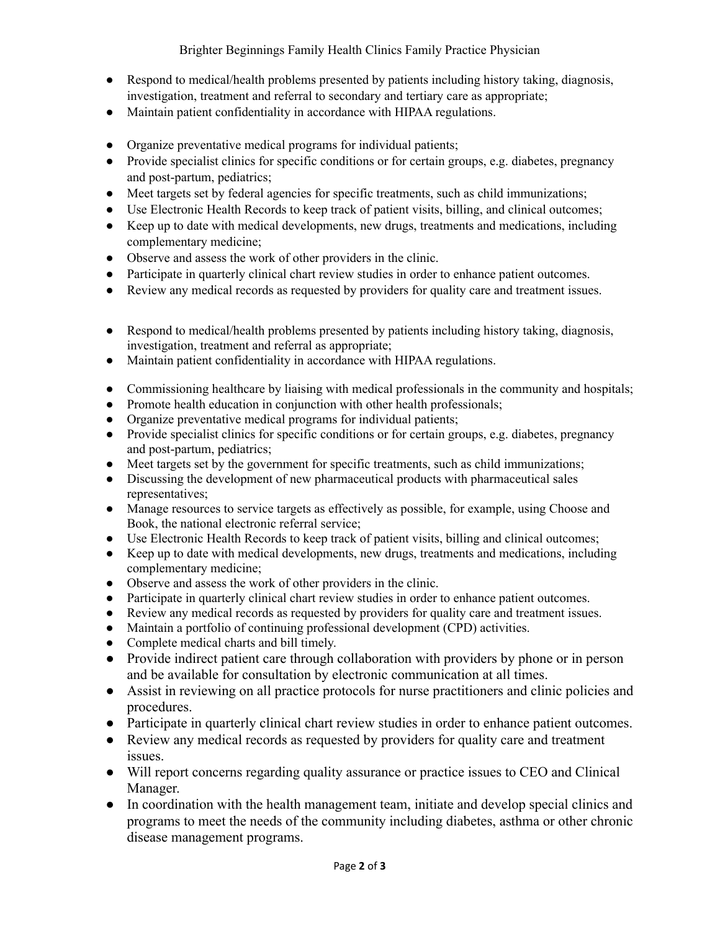- Respond to medical/health problems presented by patients including history taking, diagnosis, investigation, treatment and referral to secondary and tertiary care as appropriate;
- Maintain patient confidentiality in accordance with HIPAA regulations.
- Organize preventative medical programs for individual patients;
- Provide specialist clinics for specific conditions or for certain groups, e.g. diabetes, pregnancy and post-partum, pediatrics;
- Meet targets set by federal agencies for specific treatments, such as child immunizations;
- Use Electronic Health Records to keep track of patient visits, billing, and clinical outcomes;
- Keep up to date with medical developments, new drugs, treatments and medications, including complementary medicine;
- Observe and assess the work of other providers in the clinic.
- Participate in quarterly clinical chart review studies in order to enhance patient outcomes.
- Review any medical records as requested by providers for quality care and treatment issues.
- Respond to medical/health problems presented by patients including history taking, diagnosis, investigation, treatment and referral as appropriate;
- Maintain patient confidentiality in accordance with HIPAA regulations.
- Commissioning healthcare by liaising with medical professionals in the community and hospitals;
- Promote health education in conjunction with other health professionals;
- Organize preventative medical programs for individual patients;
- Provide specialist clinics for specific conditions or for certain groups, e.g. diabetes, pregnancy and post-partum, pediatrics;
- Meet targets set by the government for specific treatments, such as child immunizations;
- Discussing the development of new pharmaceutical products with pharmaceutical sales representatives;
- Manage resources to service targets as effectively as possible, for example, using Choose and Book, the national electronic referral service;
- Use Electronic Health Records to keep track of patient visits, billing and clinical outcomes;
- Keep up to date with medical developments, new drugs, treatments and medications, including complementary medicine;
- Observe and assess the work of other providers in the clinic.
- Participate in quarterly clinical chart review studies in order to enhance patient outcomes.
- Review any medical records as requested by providers for quality care and treatment issues.
- Maintain a portfolio of continuing professional development (CPD) activities.
- Complete medical charts and bill timely.
- Provide indirect patient care through collaboration with providers by phone or in person and be available for consultation by electronic communication at all times.
- Assist in reviewing on all practice protocols for nurse practitioners and clinic policies and procedures.
- Participate in quarterly clinical chart review studies in order to enhance patient outcomes.
- Review any medical records as requested by providers for quality care and treatment issues.
- Will report concerns regarding quality assurance or practice issues to CEO and Clinical Manager.
- In coordination with the health management team, initiate and develop special clinics and programs to meet the needs of the community including diabetes, asthma or other chronic disease management programs.